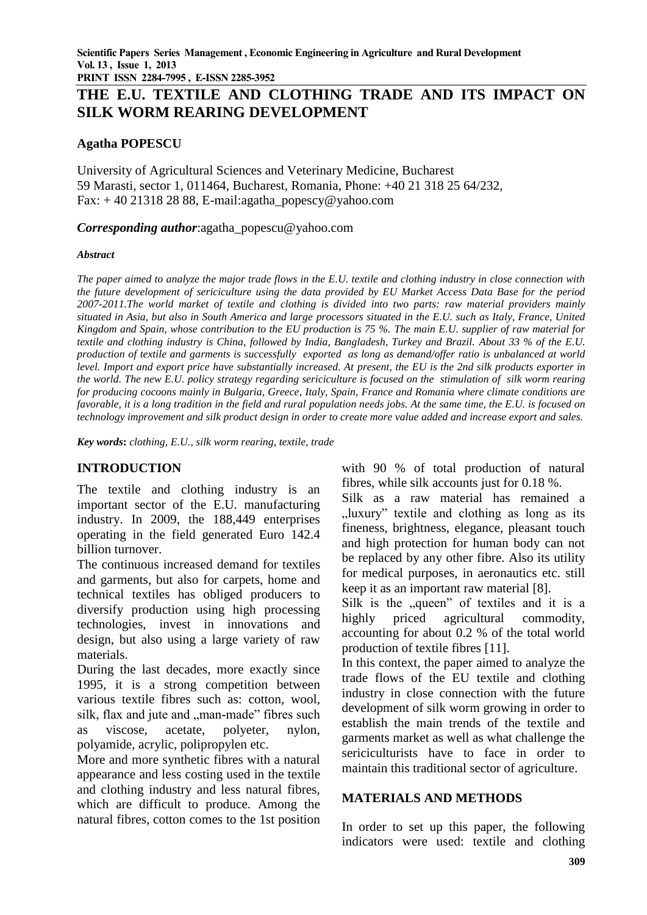**PRINT ISSN 2284-7995 , E-ISSN 2285-3952** 

# **THE E.U. TEXTILE AND CLOTHING TRADE AND ITS IMPACT ON SILK WORM REARING DEVELOPMENT**

#### **Agatha POPESCU**

University of Agricultural Sciences and Veterinary Medicine, Bucharest 59 Marasti, sector 1, 011464, Bucharest, Romania, Phone: +40 21 318 25 64/232, Fax:  $+40$  21318 28 88, E-mail:agatha\_popescy@yahoo.com

*Corresponding author*:agatha\_popescu@yahoo.com

#### *Abstract*

*The paper aimed to analyze the major trade flows in the E.U. textile and clothing industry in close connection with the future development of sericiculture using the data provided by EU Market Access Data Base for the period 2007-2011.The world market of textile and clothing is divided into two parts: raw material providers mainly situated in Asia, but also in South America and large processors situated in the E.U. such as Italy, France, United Kingdom and Spain, whose contribution to the EU production is 75 %. The main E.U. supplier of raw material for textile and clothing industry is China, followed by India, Bangladesh, Turkey and Brazil. About 33 % of the E.U. production of textile and garments is successfully exported as long as demand/offer ratio is unbalanced at world level. Import and export price have substantially increased. At present, the EU is the 2nd silk products exporter in the world. The new E.U. policy strategy regarding sericiculture is focused on the stimulation of silk worm rearing for producing cocoons mainly in Bulgaria, Greece, Italy, Spain, France and Romania where climate conditions are favorable, it is a long tradition in the field and rural population needs jobs. At the same time, the E.U. is focused on technology improvement and silk product design in order to create more value added and increase export and sales.*

*Key words***:** *clothing, E.U., silk worm rearing, textile, trade*

## **INTRODUCTION**

The textile and clothing industry is an important sector of the E.U. manufacturing industry. In 2009, the 188,449 enterprises operating in the field generated Euro 142.4 billion turnover.

The continuous increased demand for textiles and garments, but also for carpets, home and technical textiles has obliged producers to diversify production using high processing technologies, invest in innovations and design, but also using a large variety of raw materials.

During the last decades, more exactly since 1995, it is a strong competition between various textile fibres such as: cotton, wool, silk, flax and jute and "man-made" fibres such as viscose, acetate, polyeter, nylon, polyamide, acrylic, polipropylen etc.

More and more synthetic fibres with a natural appearance and less costing used in the textile and clothing industry and less natural fibres, which are difficult to produce. Among the natural fibres, cotton comes to the 1st position

with 90 % of total production of natural fibres, while silk accounts just for 0.18 %.

Silk as a raw material has remained a "luxury" textile and clothing as long as its fineness, brightness, elegance, pleasant touch and high protection for human body can not be replaced by any other fibre. Also its utility for medical purposes, in aeronautics etc. still keep it as an important raw material [8].

Silk is the "queen" of textiles and it is a highly priced agricultural commodity, accounting for about 0.2 % of the total world production of textile fibres [11].

In this context, the paper aimed to analyze the trade flows of the EU textile and clothing industry in close connection with the future development of silk worm growing in order to establish the main trends of the textile and garments market as well as what challenge the sericiculturists have to face in order to maintain this traditional sector of agriculture.

#### **MATERIALS AND METHODS**

In order to set up this paper, the following indicators were used: textile and clothing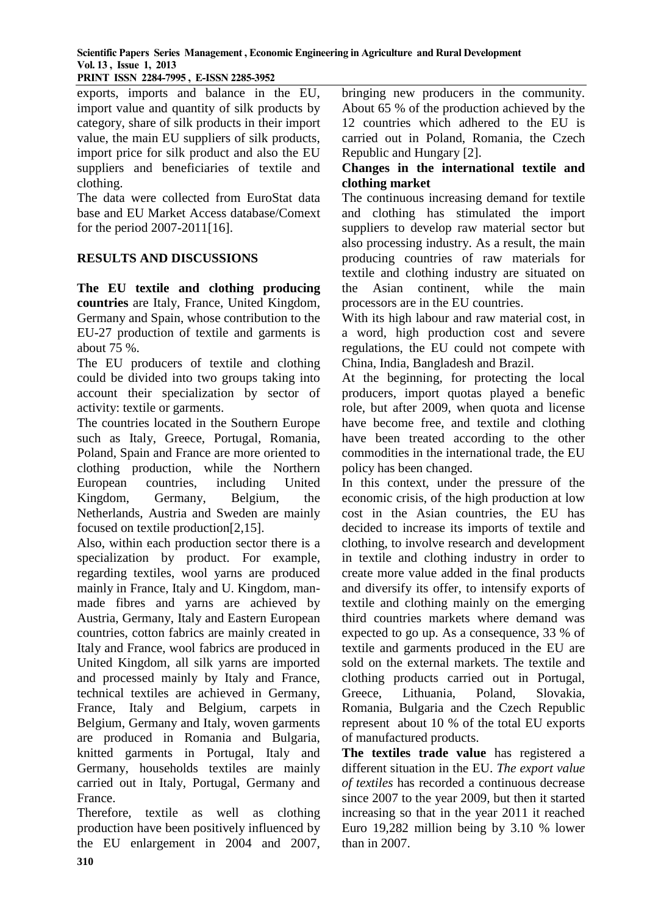**PRINT ISSN 2284-7995 , E-ISSN 2285-3952** 

exports, imports and balance in the EU, import value and quantity of silk products by category, share of silk products in their import value, the main EU suppliers of silk products, import price for silk product and also the EU suppliers and beneficiaries of textile and clothing.

The data were collected from EuroStat data base and EU Market Access database/Comext for the period 2007-2011[16].

## **RESULTS AND DISCUSSIONS**

**The EU textile and clothing producing countries** are Italy, France, United Kingdom, Germany and Spain, whose contribution to the EU-27 production of textile and garments is about 75 %.

The EU producers of textile and clothing could be divided into two groups taking into account their specialization by sector of activity: textile or garments.

The countries located in the Southern Europe such as Italy, Greece, Portugal, Romania, Poland, Spain and France are more oriented to clothing production, while the Northern European countries, including United Kingdom, Germany, Belgium, the Netherlands, Austria and Sweden are mainly focused on textile production[2,15].

Also, within each production sector there is a specialization by product. For example, regarding textiles, wool yarns are produced mainly in France, Italy and U. Kingdom, manmade fibres and yarns are achieved by Austria, Germany, Italy and Eastern European countries, cotton fabrics are mainly created in Italy and France, wool fabrics are produced in United Kingdom, all silk yarns are imported and processed mainly by Italy and France, technical textiles are achieved in Germany, France, Italy and Belgium, carpets in Belgium, Germany and Italy, woven garments are produced in Romania and Bulgaria, knitted garments in Portugal, Italy and Germany, households textiles are mainly carried out in Italy, Portugal, Germany and France.

Therefore, textile as well as clothing production have been positively influenced by the EU enlargement in 2004 and 2007,

bringing new producers in the community. About 65 % of the production achieved by the 12 countries which adhered to the EU is carried out in Poland, Romania, the Czech Republic and Hungary [2].

#### **Changes in the international textile and clothing market**

The continuous increasing demand for textile and clothing has stimulated the import suppliers to develop raw material sector but also processing industry. As a result, the main producing countries of raw materials for textile and clothing industry are situated on the Asian continent, while the main processors are in the EU countries.

With its high labour and raw material cost, in a word, high production cost and severe regulations, the EU could not compete with China, India, Bangladesh and Brazil.

At the beginning, for protecting the local producers, import quotas played a benefic role, but after 2009, when quota and license have become free, and textile and clothing have been treated according to the other commodities in the international trade, the EU policy has been changed.

In this context, under the pressure of the economic crisis, of the high production at low cost in the Asian countries, the EU has decided to increase its imports of textile and clothing, to involve research and development in textile and clothing industry in order to create more value added in the final products and diversify its offer, to intensify exports of textile and clothing mainly on the emerging third countries markets where demand was expected to go up. As a consequence, 33 % of textile and garments produced in the EU are sold on the external markets. The textile and clothing products carried out in Portugal, Greece, Lithuania, Poland, Slovakia, Romania, Bulgaria and the Czech Republic represent about 10 % of the total EU exports of manufactured products.

**The textiles trade value** has registered a different situation in the EU. *The export value of textiles* has recorded a continuous decrease since 2007 to the year 2009, but then it started increasing so that in the year 2011 it reached Euro 19,282 million being by 3.10 % lower than in 2007.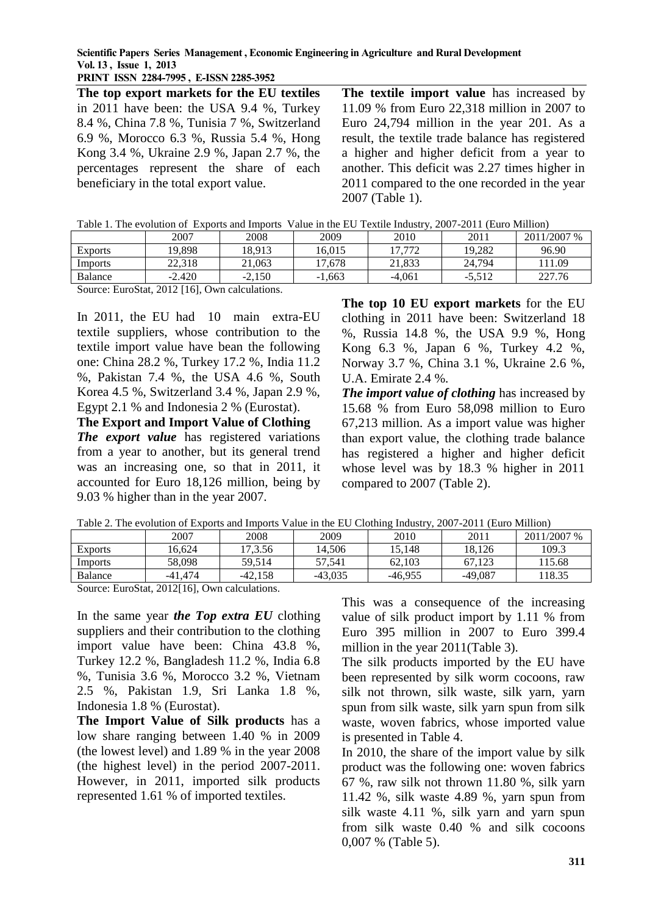**PRINT ISSN 2284-7995 , E-ISSN 2285-3952** 

**The top export markets for the EU textiles**  in 2011 have been: the USA 9.4 %, Turkey 8.4 %, China 7.8 %, Tunisia 7 %, Switzerland 6.9 %, Morocco 6.3 %, Russia 5.4 %, Hong Kong 3.4 %, Ukraine 2.9 %, Japan 2.7 %, the percentages represent the share of each beneficiary in the total export value.

**The textile import value** has increased by 11.09 % from Euro 22,318 million in 2007 to Euro 24,794 million in the year 201. As a result, the textile trade balance has registered a higher and higher deficit from a year to another. This deficit was 2.27 times higher in 2011 compared to the one recorded in the year 2007 (Table 1).

Table 1. The evolution of Exports and Imports Value in the EU Textile Industry, 2007-2011 (Euro Million)

|                                    | 2007                               | 2008     | 2009     | 2010     | 2011     | 2011/2007 % |
|------------------------------------|------------------------------------|----------|----------|----------|----------|-------------|
| <b>Exports</b>                     | 19.898                             | 18.913   | 16.015   | 17.772   | 19.282   | 96.90       |
| Imports                            | 22.318                             | 21.063   | 17.678   | 21.833   | 24.794   | 11.09       |
| Balance                            | $-2.420$                           | $-2.150$ | $-1.663$ | $-4.061$ | $-5.512$ | 227.76      |
| $\sim$<br>$\overline{\phantom{0}}$ | $\alpha$ and $\alpha$ and $\alpha$ |          |          |          |          |             |

Source: EuroStat, 2012 [16], Own calculations.

In 2011, the EU had 10 main extra-EU textile suppliers, whose contribution to the textile import value have bean the following one: China 28.2 %, Turkey 17.2 %, India 11.2 %, Pakistan 7.4 %, the USA 4.6 %, South Korea 4.5 %, Switzerland 3.4 %, Japan 2.9 %, Egypt 2.1 % and Indonesia 2 % (Eurostat).

**The Export and Import Value of Clothing** *The export value* has registered variations from a year to another, but its general trend was an increasing one, so that in 2011, it accounted for Euro 18,126 million, being by 9.03 % higher than in the year 2007.

**The top 10 EU export markets** for the EU clothing in 2011 have been: Switzerland 18 %, Russia 14.8 %, the USA 9.9 %, Hong Kong 6.3 %, Japan 6 %, Turkey 4.2 %, Norway 3.7 %, China 3.1 %, Ukraine 2.6 %, U.A. Emirate 2.4 %.

*The import value of clothing* has increased by 15.68 % from Euro 58,098 million to Euro 67,213 million. As a import value was higher than export value, the clothing trade balance has registered a higher and higher deficit whose level was by 18.3 % higher in 2011 compared to 2007 (Table 2).

| Tuble 2. The evolution of Exports and Imports $\ell$ and in the EQ Clothing Industry, 2007 2011 (Euro Miniton) |           |           |           |           |           |             |  |  |  |
|----------------------------------------------------------------------------------------------------------------|-----------|-----------|-----------|-----------|-----------|-------------|--|--|--|
|                                                                                                                | 2007      | 2008      | 2009      | 2010      | 2011      | 2011/2007 % |  |  |  |
| <b>Exports</b>                                                                                                 | 16.624    | 7.3.56    | 14.506    | 5.148     | 18.126    | 109.3       |  |  |  |
| Imports                                                                                                        | 58.098    | 59.514    | 57.541    | 62.103    | 67.123    | 15.68       |  |  |  |
| Balance                                                                                                        | $-41.474$ | $-42.158$ | $-43.035$ | $-46.955$ | $-49.087$ | 18.35       |  |  |  |

Table 2. The evolution of Exports and Imports Value in the EU Clothing Industry, 2007-2011 (Euro Million)

Source: EuroStat, 2012[16], Own calculations.

In the same year *the Top extra EU* clothing suppliers and their contribution to the clothing import value have been: China 43.8 %, Turkey 12.2 %, Bangladesh 11.2 %, India 6.8 %, Tunisia 3.6 %, Morocco 3.2 %, Vietnam 2.5 %, Pakistan 1.9, Sri Lanka 1.8 %, Indonesia 1.8 % (Eurostat).

**The Import Value of Silk products** has a low share ranging between 1.40 % in 2009 (the lowest level) and 1.89 % in the year 2008 (the highest level) in the period 2007-2011. However, in 2011, imported silk products represented 1.61 % of imported textiles.

This was a consequence of the increasing value of silk product import by 1.11 % from Euro 395 million in 2007 to Euro 399.4 million in the year 2011(Table 3).

The silk products imported by the EU have been represented by silk worm cocoons, raw silk not thrown, silk waste, silk yarn, yarn spun from silk waste, silk yarn spun from silk waste, woven fabrics, whose imported value is presented in Table 4.

In 2010, the share of the import value by silk product was the following one: woven fabrics 67 %, raw silk not thrown 11.80 %, silk yarn 11.42 %, silk waste 4.89 %, yarn spun from silk waste 4.11 %, silk yarn and yarn spun from silk waste 0.40 % and silk cocoons 0,007 % (Table 5).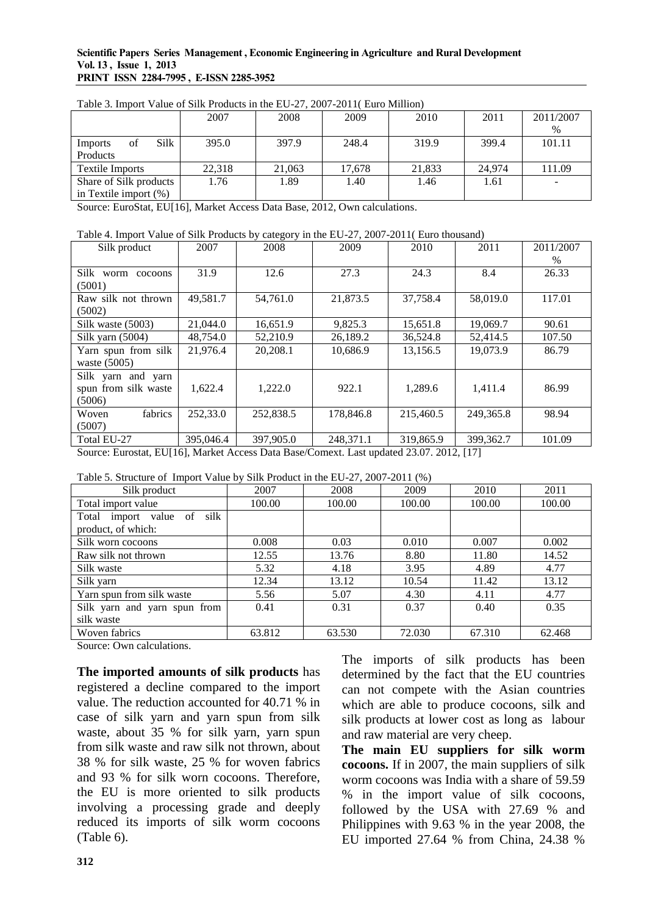#### **Scientific Papers Series Management , Economic Engineering in Agriculture and Rural Development Vol. 13 , Issue 1, 2013 PRINT ISSN 2284-7995 , E-ISSN 2285-3952**

|                          |            | 2007   | 2008   | 2009   | 2010   | 2011   | 2011/2007 |
|--------------------------|------------|--------|--------|--------|--------|--------|-----------|
|                          |            |        |        |        |        |        | $\%$      |
| Imports                  | Silk<br>ΟÌ | 395.0  | 397.9  | 248.4  | 319.9  | 399.4  | 101.11    |
| Products                 |            |        |        |        |        |        |           |
| Textile Imports          |            | 22.318 | 21,063 | 17.678 | 21,833 | 24,974 | 111.09    |
| Share of Silk products   |            | 1.76   | 1.89   | 1.40   | 1.46   | 1.61   |           |
| in Textile import $(\%)$ |            |        |        |        |        |        |           |

Table 3. Import Value of Silk Products in the EU-27, 2007-2011( Euro Million)

Source: EuroStat, EU[16], Market Access Data Base, 2012, Own calculations.

#### Table 4. Import Value of Silk Products by category in the EU-27, 2007-2011( Euro thousand)

| Silk product         | 2007      | 2008      | 2009      | 2010      | 2011      | 2011/2007 |
|----------------------|-----------|-----------|-----------|-----------|-----------|-----------|
|                      |           |           |           |           |           | $\%$      |
| Silk worm<br>cocoons | 31.9      | 12.6      | 27.3      | 24.3      | 8.4       | 26.33     |
| (5001)               |           |           |           |           |           |           |
| Raw silk not thrown  | 49,581.7  | 54,761.0  | 21,873.5  | 37,758.4  | 58,019.0  | 117.01    |
| (5002)               |           |           |           |           |           |           |
| Silk waste (5003)    | 21,044.0  | 16,651.9  | 9,825.3   | 15,651.8  | 19,069.7  | 90.61     |
| Silk yarn (5004)     | 48,754.0  | 52,210.9  | 26,189.2  | 36,524.8  | 52,414.5  | 107.50    |
| Yarn spun from silk  | 21,976.4  | 20,208.1  | 10,686.9  | 13,156.5  | 19,073.9  | 86.79     |
| waste $(5005)$       |           |           |           |           |           |           |
| Silk yarn and yarn   |           |           |           |           |           |           |
| spun from silk waste | 1,622.4   | 1,222.0   | 922.1     | 1,289.6   | 1,411.4   | 86.99     |
| (5006)               |           |           |           |           |           |           |
| fabrics<br>Woven     | 252,33.0  | 252,838.5 | 178,846.8 | 215,460.5 | 249,365.8 | 98.94     |
| (5007)               |           |           |           |           |           |           |
| Total EU-27          | 395,046.4 | 397,905.0 | 248,371.1 | 319,865.9 | 399,362.7 | 101.09    |

Source: Eurostat, EU[16], Market Access Data Base/Comext. Last updated 23.07. 2012, [17]

| Table 5. Structure of Import Value by Silk Product in the EU-27, 2007-2011 (%) |  |  |  |  |
|--------------------------------------------------------------------------------|--|--|--|--|

| $1000$ $\sigma$ . Durature of this of the $\sigma$ , bin from the He He $\sigma$ , $\sigma$ , $\sigma$ |        |        |        |        |        |
|--------------------------------------------------------------------------------------------------------|--------|--------|--------|--------|--------|
| Silk product                                                                                           | 2007   | 2008   | 2009   | 2010   | 2011   |
| Total import value                                                                                     | 100.00 | 100.00 | 100.00 | 100.00 | 100.00 |
| silk<br>Total import value of                                                                          |        |        |        |        |        |
| product, of which:                                                                                     |        |        |        |        |        |
| Silk worn cocoons                                                                                      | 0.008  | 0.03   | 0.010  | 0.007  | 0.002  |
| Raw silk not thrown                                                                                    | 12.55  | 13.76  | 8.80   | 11.80  | 14.52  |
| Silk waste                                                                                             | 5.32   | 4.18   | 3.95   | 4.89   | 4.77   |
| Silk yarn                                                                                              | 12.34  | 13.12  | 10.54  | 11.42  | 13.12  |
| Yarn spun from silk waste                                                                              | 5.56   | 5.07   | 4.30   | 4.11   | 4.77   |
| Silk yarn and yarn spun from                                                                           | 0.41   | 0.31   | 0.37   | 0.40   | 0.35   |
| silk waste                                                                                             |        |        |        |        |        |
| Woven fabrics                                                                                          | 63.812 | 63.530 | 72.030 | 67.310 | 62.468 |

Source: Own calculations.

**The imported amounts of silk products** has registered a decline compared to the import value. The reduction accounted for 40.71 % in case of silk yarn and yarn spun from silk waste, about 35 % for silk yarn, yarn spun from silk waste and raw silk not thrown, about 38 % for silk waste, 25 % for woven fabrics and 93 % for silk worn cocoons. Therefore, the EU is more oriented to silk products involving a processing grade and deeply reduced its imports of silk worm cocoons (Table 6).

The imports of silk products has been determined by the fact that the EU countries can not compete with the Asian countries which are able to produce cocoons, silk and silk products at lower cost as long as labour and raw material are very cheep.

**The main EU suppliers for silk worm cocoons.** If in 2007, the main suppliers of silk worm cocoons was India with a share of 59.59 % in the import value of silk cocoons, followed by the USA with 27.69 % and Philippines with 9.63 % in the year 2008, the EU imported 27.64 % from China, 24.38 %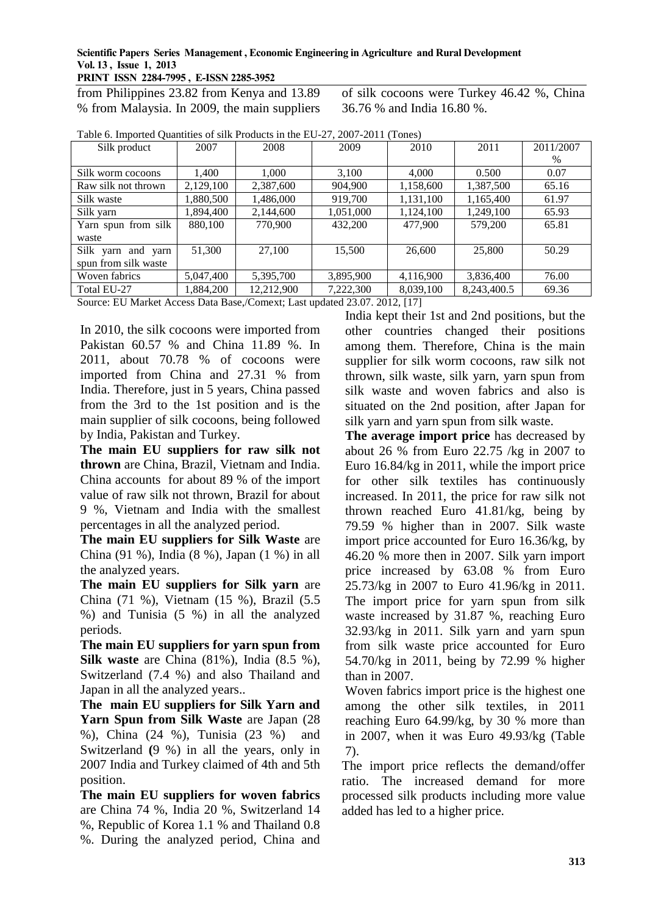**PRINT ISSN 2284-7995 , E-ISSN 2285-3952** 

from Philippines 23.82 from Kenya and 13.89 % from Malaysia. In 2009, the main suppliers of silk cocoons were Turkey 46.42 %, China 36.76 % and India 16.80 %.

| Silk product         | 2007                                                                    | 2008       | 2009      | 2010      | 2011        | 2011/2007 |  |  |  |
|----------------------|-------------------------------------------------------------------------|------------|-----------|-----------|-------------|-----------|--|--|--|
|                      |                                                                         |            |           |           |             | $\%$      |  |  |  |
| Silk worm cocoons    | 1,400                                                                   | 1,000      | 3,100     | 4.000     | 0.500       | 0.07      |  |  |  |
| Raw silk not thrown  | 2,129,100                                                               | 2,387,600  | 904,900   | 1,158,600 | 1,387,500   | 65.16     |  |  |  |
| Silk waste           | 1,880,500                                                               | 1,486,000  | 919,700   | 1,131,100 | 1,165,400   | 61.97     |  |  |  |
| Silk yarn            | 1,894,400                                                               | 2,144,600  | 1,051,000 | 1,124,100 | 1,249,100   | 65.93     |  |  |  |
| Yarn spun from silk  | 880,100                                                                 | 770,900    | 432,200   | 477,900   | 579,200     | 65.81     |  |  |  |
| waste                |                                                                         |            |           |           |             |           |  |  |  |
| Silk yarn and yarn   | 51.300                                                                  | 27,100     | 15,500    | 26,600    | 25,800      | 50.29     |  |  |  |
| spun from silk waste |                                                                         |            |           |           |             |           |  |  |  |
| Woven fabrics        | 5,047,400                                                               | 5,395,700  | 3,895,900 | 4,116,900 | 3,836,400   | 76.00     |  |  |  |
| Total EU-27          | 1,884,200                                                               | 12,212,900 | 7,222,300 | 8,039,100 | 8,243,400.5 | 69.36     |  |  |  |
|                      | Source: ELLMarket Access Data Base Comext: Last undated 23.07.2012 [17] |            |           |           |             |           |  |  |  |

Table 6. Imported Quantities of silk Products in the EU-27, 2007-2011 (Tones)

omext; Last updated 23.07. 2012, [17]

In 2010, the silk cocoons were imported from Pakistan 60.57 % and China 11.89 %. In 2011, about 70.78 % of cocoons were imported from China and 27.31 % from India. Therefore, just in 5 years, China passed from the 3rd to the 1st position and is the main supplier of silk cocoons, being followed by India, Pakistan and Turkey.

**The main EU suppliers for raw silk not thrown** are China, Brazil, Vietnam and India. China accounts for about 89 % of the import value of raw silk not thrown, Brazil for about 9 %, Vietnam and India with the smallest percentages in all the analyzed period.

**The main EU suppliers for Silk Waste** are China (91 %), India (8 %), Japan (1 %) in all the analyzed years.

**The main EU suppliers for Silk yarn** are China (71 %), Vietnam (15 %), Brazil (5.5 %) and Tunisia (5 %) in all the analyzed periods.

**The main EU suppliers for yarn spun from Silk waste** are China (81%), India (8.5 %), Switzerland (7.4 %) and also Thailand and Japan in all the analyzed years..

**The main EU suppliers for Silk Yarn and**  Yarn Spun from Silk Waste are Japan (28) %), China (24 %), Tunisia (23 %) and Switzerland **(**9 %) in all the years, only in 2007 India and Turkey claimed of 4th and 5th position.

**The main EU suppliers for woven fabrics**  are China 74 %, India 20 %, Switzerland 14 %, Republic of Korea 1.1 % and Thailand 0.8 %. During the analyzed period, China and India kept their 1st and 2nd positions, but the other countries changed their positions among them. Therefore, China is the main supplier for silk worm cocoons, raw silk not thrown, silk waste, silk yarn, yarn spun from silk waste and woven fabrics and also is situated on the 2nd position, after Japan for silk yarn and yarn spun from silk waste.

**The average import price** has decreased by about 26 % from Euro 22.75 /kg in 2007 to Euro 16.84/kg in 2011, while the import price for other silk textiles has continuously increased. In 2011, the price for raw silk not thrown reached Euro 41.81/kg, being by 79.59 % higher than in 2007. Silk waste import price accounted for Euro 16.36/kg, by 46.20 % more then in 2007. Silk yarn import price increased by 63.08 % from Euro 25.73/kg in 2007 to Euro 41.96/kg in 2011. The import price for yarn spun from silk waste increased by 31.87 %, reaching Euro 32.93/kg in 2011. Silk yarn and yarn spun from silk waste price accounted for Euro 54.70/kg in 2011, being by 72.99 % higher than in 2007.

Woven fabrics import price is the highest one among the other silk textiles, in 2011 reaching Euro 64.99/kg, by 30 % more than in 2007, when it was Euro 49.93/kg (Table 7).

The import price reflects the demand/offer ratio. The increased demand for more processed silk products including more value added has led to a higher price.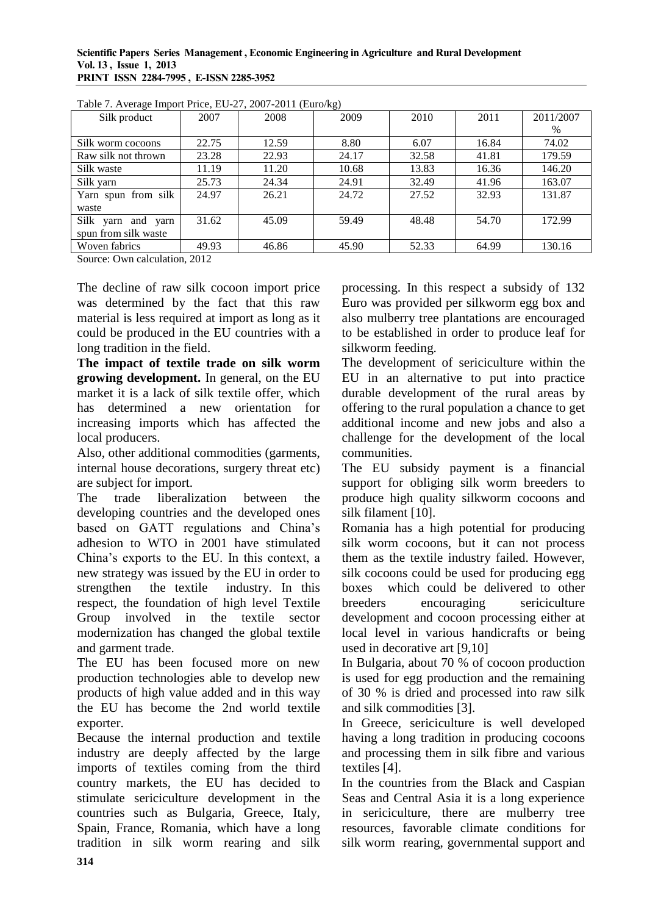| ۔ ص<br>Silk product         | 2007  | 2008  | $\mathcal{L}$<br>2009 | 2010  | 2011  | 2011/2007 |
|-----------------------------|-------|-------|-----------------------|-------|-------|-----------|
|                             |       |       |                       |       |       | $\%$      |
| Silk worm cocoons           | 22.75 | 12.59 | 8.80                  | 6.07  | 16.84 | 74.02     |
| Raw silk not thrown         | 23.28 | 22.93 | 24.17                 | 32.58 | 41.81 | 179.59    |
| Silk waste                  | 11.19 | 11.20 | 10.68                 | 13.83 | 16.36 | 146.20    |
| Silk yarn                   | 25.73 | 24.34 | 24.91                 | 32.49 | 41.96 | 163.07    |
| Yarn spun from silk         | 24.97 | 26.21 | 24.72                 | 27.52 | 32.93 | 131.87    |
| waste                       |       |       |                       |       |       |           |
| Silk<br>and<br>yarn<br>yarn | 31.62 | 45.09 | 59.49                 | 48.48 | 54.70 | 172.99    |
| spun from silk waste        |       |       |                       |       |       |           |
| Woven fabrics               | 49.93 | 46.86 | 45.90                 | 52.33 | 64.99 | 130.16    |

Table 7. Average Import Price, EU-27, 2007-2011 (Euro/kg)

Source: Own calculation, 2012

The decline of raw silk cocoon import price was determined by the fact that this raw material is less required at import as long as it could be produced in the EU countries with a long tradition in the field.

**The impact of textile trade on silk worm growing development.** In general, on the EU market it is a lack of silk textile offer, which has determined a new orientation for increasing imports which has affected the local producers.

Also, other additional commodities (garments, internal house decorations, surgery threat etc) are subject for import.

The trade liberalization between the developing countries and the developed ones based on GATT regulations and China's adhesion to WTO in 2001 have stimulated China's exports to the EU. In this context, a new strategy was issued by the EU in order to strengthen the textile industry. In this respect, the foundation of high level Textile Group involved in the textile sector modernization has changed the global textile and garment trade.

The EU has been focused more on new production technologies able to develop new products of high value added and in this way the EU has become the 2nd world textile exporter.

Because the internal production and textile industry are deeply affected by the large imports of textiles coming from the third country markets, the EU has decided to stimulate sericiculture development in the countries such as Bulgaria, Greece, Italy, Spain, France, Romania, which have a long tradition in silk worm rearing and silk processing. In this respect a subsidy of 132 Euro was provided per silkworm egg box and also mulberry tree plantations are encouraged to be established in order to produce leaf for silkworm feeding.

The development of sericiculture within the EU in an alternative to put into practice durable development of the rural areas by offering to the rural population a chance to get additional income and new jobs and also a challenge for the development of the local communities.

The EU subsidy payment is a financial support for obliging silk worm breeders to produce high quality silkworm cocoons and silk filament [10].

Romania has a high potential for producing silk worm cocoons, but it can not process them as the textile industry failed. However, silk cocoons could be used for producing egg boxes which could be delivered to other breeders encouraging sericiculture development and cocoon processing either at local level in various handicrafts or being used in decorative art [9,10]

In Bulgaria, about 70 % of cocoon production is used for egg production and the remaining of 30 % is dried and processed into raw silk and silk commodities [3].

In Greece, sericiculture is well developed having a long tradition in producing cocoons and processing them in silk fibre and various textiles [4].

In the countries from the Black and Caspian Seas and Central Asia it is a long experience in sericiculture, there are mulberry tree resources, favorable climate conditions for silk worm rearing, governmental support and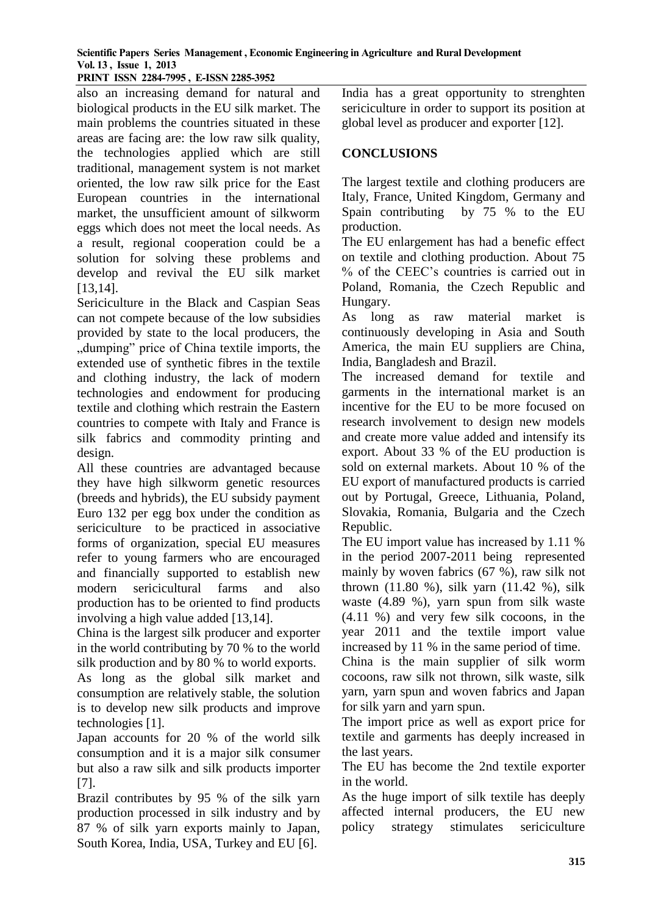**PRINT ISSN 2284-7995 , E-ISSN 2285-3952** 

also an increasing demand for natural and biological products in the EU silk market. The main problems the countries situated in these areas are facing are: the low raw silk quality, the technologies applied which are still traditional, management system is not market oriented, the low raw silk price for the East European countries in the international market, the unsufficient amount of silkworm eggs which does not meet the local needs. As a result, regional cooperation could be a solution for solving these problems and develop and revival the EU silk market [13,14].

Sericiculture in the Black and Caspian Seas can not compete because of the low subsidies provided by state to the local producers, the "dumping" price of China textile imports, the extended use of synthetic fibres in the textile and clothing industry, the lack of modern technologies and endowment for producing textile and clothing which restrain the Eastern countries to compete with Italy and France is silk fabrics and commodity printing and design.

All these countries are advantaged because they have high silkworm genetic resources (breeds and hybrids), the EU subsidy payment Euro 132 per egg box under the condition as sericiculture to be practiced in associative forms of organization, special EU measures refer to young farmers who are encouraged and financially supported to establish new modern sericicultural farms and also production has to be oriented to find products involving a high value added [13,14].

China is the largest silk producer and exporter in the world contributing by 70 % to the world silk production and by 80 % to world exports.

As long as the global silk market and consumption are relatively stable, the solution is to develop new silk products and improve technologies [1].

Japan accounts for 20 % of the world silk consumption and it is a major silk consumer but also a raw silk and silk products importer [7].

Brazil contributes by 95 % of the silk yarn production processed in silk industry and by 87 % of silk yarn exports mainly to Japan, South Korea, India, USA, Turkey and EU [6].

India has a great opportunity to strenghten sericiculture in order to support its position at global level as producer and exporter [12].

### **CONCLUSIONS**

The largest textile and clothing producers are Italy, France, United Kingdom, Germany and Spain contributing by 75 % to the EU production.

The EU enlargement has had a benefic effect on textile and clothing production. About 75 % of the CEEC's countries is carried out in Poland, Romania, the Czech Republic and Hungary.

As long as raw material market is continuously developing in Asia and South America, the main EU suppliers are China, India, Bangladesh and Brazil.

The increased demand for textile and garments in the international market is an incentive for the EU to be more focused on research involvement to design new models and create more value added and intensify its export. About 33 % of the EU production is sold on external markets. About 10 % of the EU export of manufactured products is carried out by Portugal, Greece, Lithuania, Poland, Slovakia, Romania, Bulgaria and the Czech Republic.

The EU import value has increased by 1.11 % in the period 2007-2011 being represented mainly by woven fabrics (67 %), raw silk not thrown (11.80 %), silk yarn (11.42 %), silk waste (4.89 %), yarn spun from silk waste (4.11 %) and very few silk cocoons, in the year 2011 and the textile import value increased by 11 % in the same period of time.

China is the main supplier of silk worm cocoons, raw silk not thrown, silk waste, silk yarn, yarn spun and woven fabrics and Japan for silk yarn and yarn spun.

The import price as well as export price for textile and garments has deeply increased in the last years.

The EU has become the 2nd textile exporter in the world.

As the huge import of silk textile has deeply affected internal producers, the EU new policy strategy stimulates sericiculture